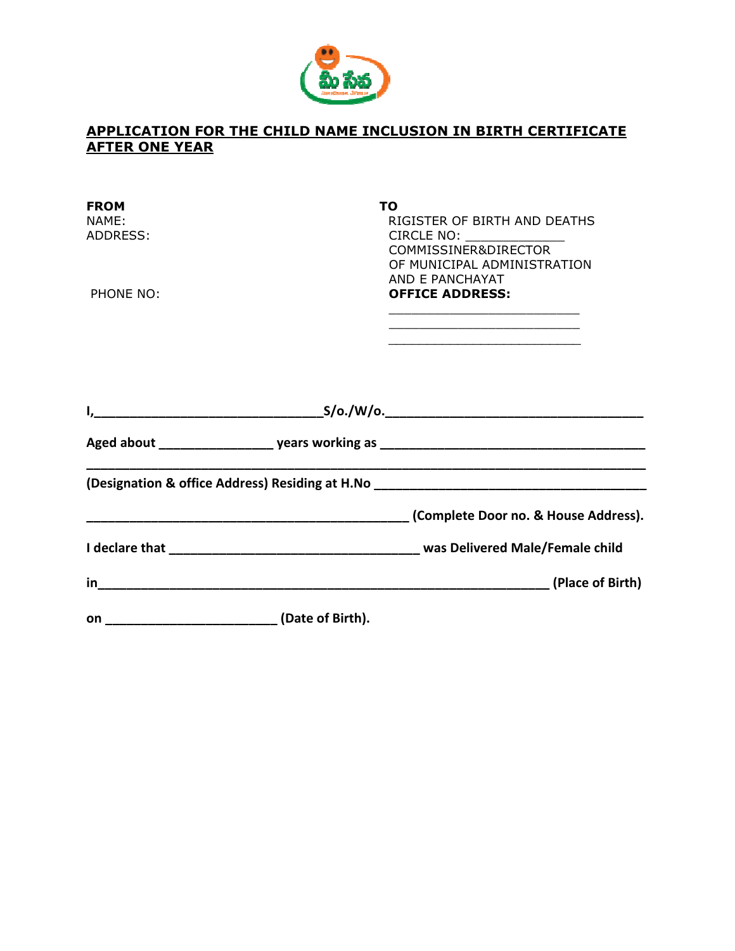

## APPLICATION FOR THE CHILD NAME INCLUSION IN BIRTH CERTIFICATE AFTER ONE YEAR

| <b>FROM</b><br>NAME:<br>ADDRESS: |                                                 | ΤO<br>RIGISTER OF BIRTH AND DEATHS<br>CIRCLE NO: ______________<br>COMMISSINER&DIRECTOR<br>OF MUNICIPAL ADMINISTRATION                 |
|----------------------------------|-------------------------------------------------|----------------------------------------------------------------------------------------------------------------------------------------|
| PHONE NO:                        |                                                 | AND E PANCHAYAT<br><b>OFFICE ADDRESS:</b><br>the control of the control of the control of the control of the control of the control of |
|                                  |                                                 |                                                                                                                                        |
|                                  |                                                 |                                                                                                                                        |
|                                  |                                                 | (Designation & office Address) Residing at H.No _________________________________                                                      |
|                                  |                                                 |                                                                                                                                        |
|                                  |                                                 |                                                                                                                                        |
| in                               |                                                 |                                                                                                                                        |
|                                  | on ____________________________(Date of Birth). |                                                                                                                                        |